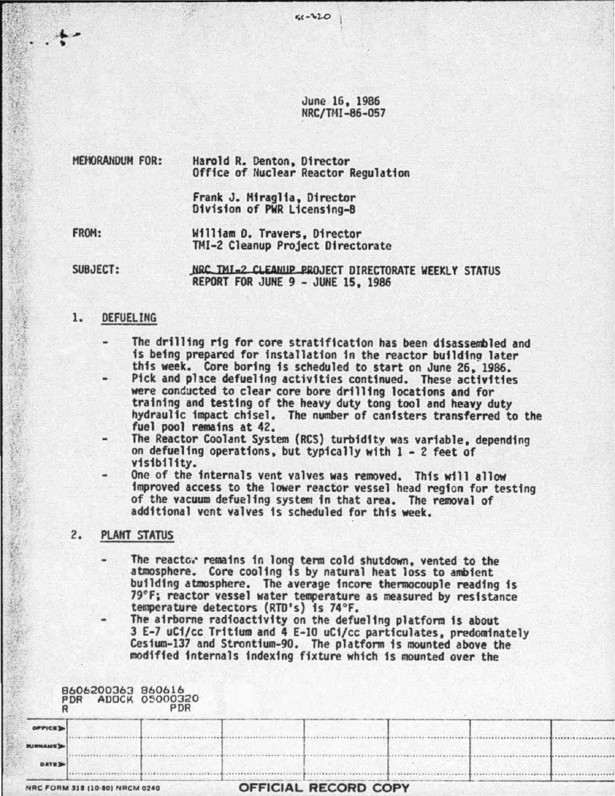June 16, 1986 NRC/TMI-86-057

 $50 - 320$ 

HEmRAHOUH FOR: Harold R. Denton, Director Office of Nuclear Reactor Regulation

> Frank J. Hiraglfa, Director Division of PWR Licensing-B

FROM:

William 0. Travers, Director THI-2 Cleanup Project Directorate

SUBJECT:

NRC. TMI.2 CLEANIIP PROJECT DIRECTORATE WEEKLY STATUS REPORT FOR JUNE 9 - JUNE 15, 1986

# 1. DEFUELIHG

- The drilling rfg for core stratification has been disassembled and is being prepared for installation in the reactor building later this week. Core boring is scheduled to start on June 26, 1986.
- Pick and place defueling activities continued. These activities were conducted to clear core bore drilling locations and for<br>training and testing of the heavy duty tong tool and heavy duty hydraulic impact chisel. The number of canisters transferred to the fuel pool remains at 42.
- The Reactor Coolant System (RCS) turbidity was variable, depending on defueling operations, but typically wfth 1 - 2 feet of v1s1b111ty.
	- One of the internals vent valves was removed. This will allow improved access to the lower reactor vessel head region for testing of the vacuum defueling system in that area. The removal of additional vent valves is scheduled for this week.

### 2. PLANT STATUS

- The reactc.· remains in long term cold shutdown, vented to the atmosphere. Core cooling is by natural heat loss to ambient building atmosphere. The average fncore thermocouple reading is 79°F; reactor vessel water temperature as measured by resistance temperature detectors (RTD's} is 74°F.
	- The airborne radioactivity on the defueling platform is about 3 E-7 uCi/cc Tritium and 4 E-10 uCi/cc particulates, predominately Cesfum-137 and Strontium-90. The platform 1s mounted above the modified internals indexing fixture which is mounted over the

|                 | B606200363 860616<br>PDR ADOCK 05000320 | PDR |                      |  |  |
|-----------------|-----------------------------------------|-----|----------------------|--|--|
| OFFICE'S        |                                         |     |                      |  |  |
| <b>BURKAME)</b> |                                         |     |                      |  |  |
| DATE 3          |                                         |     |                      |  |  |
|                 | NRC FORM 318 (10-80) NRCM 0240          |     | OFFICIAL RECORD COPY |  |  |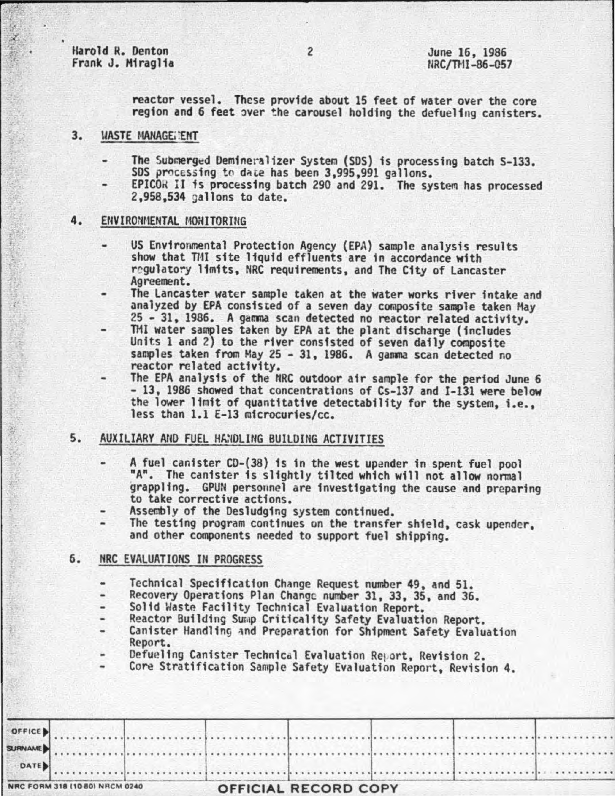Harold R. Denton Frank J. Miraglia

reactor vessel. These provide about 15 feet of water over the core region and 6 feet over the carousel holding the defueling canisters.

- 3. **UASTE MANAGE::ENT** 
	- The Submerged Demineralizer System (SDS) is processing batch S-133. SDS processing to date has been 3,995,991 gallons.
	- EPICOR II is processing batch 290 and 291. The system has processed  $2,958,534$  gallons to date.

## 4. EfWIROWIENTAL MOHITORING

- US Environmental Protection Agency (EPA) sample analysis results show that TMI site liquid effluents are in accordance with regulatory limits, NRC requirements, and The City of Lancaster Agreement.
- The Lancaster water sample taken at the water works river intake and<br>analyzed by EPA consisted of a seven day composite sample taken May
- 25 31, 1986. A gamma scan detected no reactor related activity.<br>TMI water samples taken by EPA at the plant discharge (includes Units 1 and 2) to the river consisted of seven daily composite samples taken from May 25 3 reactor related activity.
- The EPA analysis of the NRC outdoor air sample for the period June 6 13, 1986 showed that concentrations of Cs-137 and I-131 were below the lower limit of quantitative detectability for the system, i.e., less than 1.1 E-13 mfcrocuries/cc.

# 5. AUXILIARY AND FUEL HANDLING BUILDING ACTIVITIES

- <sup>I</sup>A fuP.l canister CD-(38) is in the west upender in spent fuel pool "A". The canister is slightly tilted which will not allow normal grappling. GPUN personnel are investigating the cause and preparing to take corrective actions.
- Assembly of the Oesludging system continued.
- The testing program continues on the transfer shield, cask upender, and other components needed to support fuel shipping.

# 6. NRC EVALUATIONS IN PROGRESS

- Technical Specification Change Request number 49, and 51.
- Recovery Operations Plan Change number 31, 33, 35, and 36.<br>Solid Waste Facility Technical Evaluation Report.
- 
- 
- Reactor Building Sump Criticality Safety Evaluation Report.<br>Canister Handling and Preparation for Shipment Safety Evaluation Report.<br>Defueling Canister Technical Evaluation Report, Revision 2.
- 
- Core Stratification Sample Safety Evaluation Report, Revision 4.

| DATE           |  |  |                                                                                                                |  |
|----------------|--|--|----------------------------------------------------------------------------------------------------------------|--|
| <b>SURNAME</b> |  |  | us a die betreek staatse kan die beskiedende behalfte beskip van die beskip van die beskip van die staatse kan |  |
| OFFICE         |  |  |                                                                                                                |  |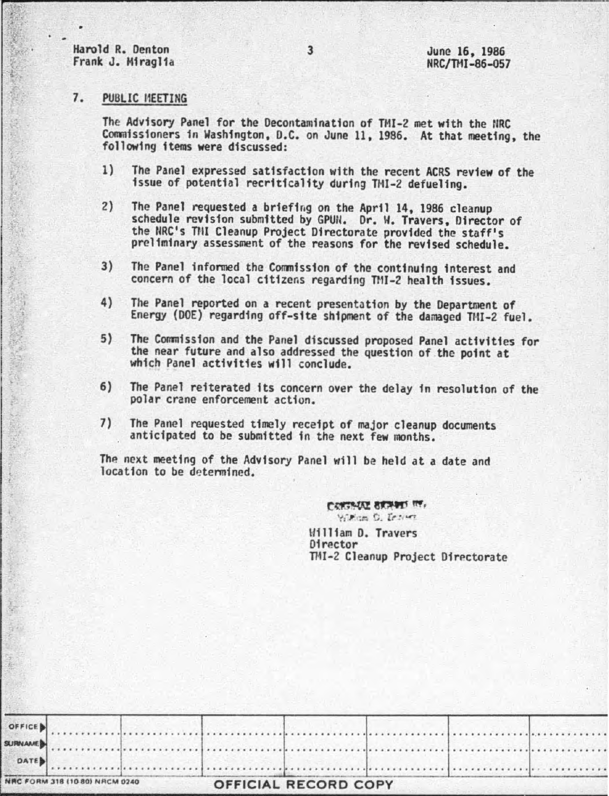Harold R. Denton Frank J. Miraglia

#### $7.$ PUBLIC MEETING

The Advisory Panel for the Decontamination of TMI-2 met with the NRC Commissioners in Washington, D.C. on June 11, 1986. At that meeting, the following items were discussed:

- $1)$ The Panel expressed satisfaction with the recent ACRS review of the issue of potential recriticality during TMI-2 defueling.
- $2)$ The Panel requested a briefing on the April 14, 1986 cleanup schedule revision submitted by GPUN. Dr. W. Travers, Director of the NRC's THI Cleanup Project Directorate provided the staff's preliminary assessment of the reasons for the revised schedule.
- $3)$ The Panel informed the Commission of the continuing interest and concern of the local citizens regarding TMI-2 health issues.
- $4)$ The Panel reported on a recent presentation by the Department of Energy (DOE) regarding off-site shipment of the damaged TMI-2 fuel.
- $5)$ The Commission and the Panel discussed proposed Panel activities for the near future and also addressed the question of the point at which Panel activities will conclude.
- $6)$ The Panel reiterated its concern over the delay in resolution of the polar crane enforcement action.
- $7)$ The Panel requested timely receipt of major cleanup documents anticipated to be submitted in the next few months.

The next meeting of the Advisory Panel will be held at a date and location to be determined.

> CONTAINE SERVER IN William D. Eriver William D. Travers Director TMI-2 Cleanup Project Directorate

| NRC FORM 318 (10 80) NRCM 0240 |  | <b>OFFICIAL RECORD COPY</b> |  |  |
|--------------------------------|--|-----------------------------|--|--|